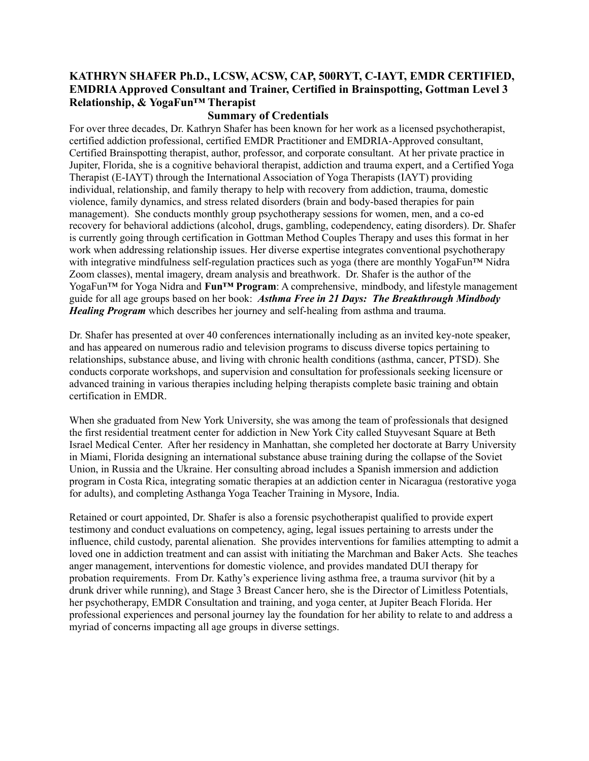#### **KATHRYN SHAFER Ph.D., LCSW, ACSW, CAP, 500RYT, C-IAYT, EMDR CERTIFIED, EMDRIA Approved Consultant and Trainer, Certified in Brainspotting, Gottman Level 3 Relationship, & YogaFun™ Therapist**

#### **Summary of Credentials**

For over three decades, Dr. Kathryn Shafer has been known for her work as a licensed psychotherapist, certified addiction professional, certified EMDR Practitioner and EMDRIA-Approved consultant, Certified Brainspotting therapist, author, professor, and corporate consultant. At her private practice in Jupiter, Florida, she is a cognitive behavioral therapist, addiction and trauma expert, and a Certified Yoga Therapist (E-IAYT) through the International Association of Yoga Therapists (IAYT) providing individual, relationship, and family therapy to help with recovery from addiction, trauma, domestic violence, family dynamics, and stress related disorders (brain and body-based therapies for pain management). She conducts monthly group psychotherapy sessions for women, men, and a co-ed recovery for behavioral addictions (alcohol, drugs, gambling, codependency, eating disorders). Dr. Shafer is currently going through certification in Gottman Method Couples Therapy and uses this format in her work when addressing relationship issues. Her diverse expertise integrates conventional psychotherapy with integrative mindfulness self-regulation practices such as yoga (there are monthly YogaFun™ Nidra Zoom classes), mental imagery, dream analysis and breathwork. Dr. Shafer is the author of the YogaFun™ for Yoga Nidra and **Fun™ Program**: A comprehensive, mindbody, and lifestyle management guide for all age groups based on her book: *Asthma Free in 21 Days: The Breakthrough Mindbody Healing Program* which describes her journey and self-healing from asthma and trauma.

Dr. Shafer has presented at over 40 conferences internationally including as an invited key-note speaker, and has appeared on numerous radio and television programs to discuss diverse topics pertaining to relationships, substance abuse, and living with chronic health conditions (asthma, cancer, PTSD). She conducts corporate workshops, and supervision and consultation for professionals seeking licensure or advanced training in various therapies including helping therapists complete basic training and obtain certification in EMDR.

When she graduated from New York University, she was among the team of professionals that designed the first residential treatment center for addiction in New York City called Stuyvesant Square at Beth Israel Medical Center. After her residency in Manhattan, she completed her doctorate at Barry University in Miami, Florida designing an international substance abuse training during the collapse of the Soviet Union, in Russia and the Ukraine. Her consulting abroad includes a Spanish immersion and addiction program in Costa Rica, integrating somatic therapies at an addiction center in Nicaragua (restorative yoga for adults), and completing Asthanga Yoga Teacher Training in Mysore, India.

Retained or court appointed, Dr. Shafer is also a forensic psychotherapist qualified to provide expert testimony and conduct evaluations on competency, aging, legal issues pertaining to arrests under the influence, child custody, parental alienation. She provides interventions for families attempting to admit a loved one in addiction treatment and can assist with initiating the Marchman and Baker Acts. She teaches anger management, interventions for domestic violence, and provides mandated DUI therapy for probation requirements. From Dr. Kathy's experience living asthma free, a trauma survivor (hit by a drunk driver while running), and Stage 3 Breast Cancer hero, she is the Director of Limitless Potentials, her psychotherapy, EMDR Consultation and training, and yoga center, at Jupiter Beach Florida. Her professional experiences and personal journey lay the foundation for her ability to relate to and address a myriad of concerns impacting all age groups in diverse settings.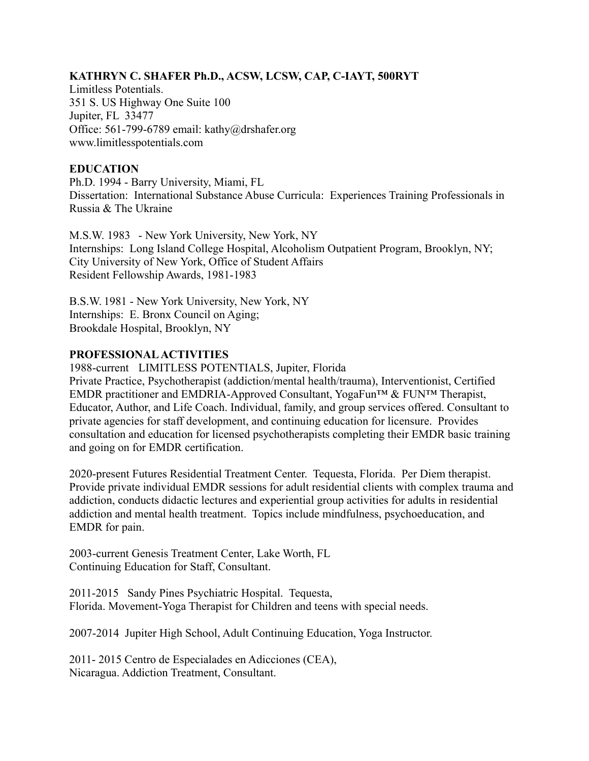#### **KATHRYN C. SHAFER Ph.D., ACSW, LCSW, CAP, C-IAYT, 500RYT**

Limitless Potentials. 351 S. US Highway One Suite 100 Jupiter, FL 33477 Office: 561-799-6789 email: kathy@drshafer.org www.limitlesspotentials.com

#### **EDUCATION**

Ph.D. 1994 - Barry University, Miami, FL Dissertation: International Substance Abuse Curricula: Experiences Training Professionals in Russia & The Ukraine

M.S.W. 1983 - New York University, New York, NY Internships: Long Island College Hospital, Alcoholism Outpatient Program, Brooklyn, NY; City University of New York, Office of Student Affairs Resident Fellowship Awards, 1981-1983

B.S.W. 1981 - New York University, New York, NY Internships: E. Bronx Council on Aging; Brookdale Hospital, Brooklyn, NY

#### **PROFESSIONAL ACTIVITIES**

1988-current LIMITLESS POTENTIALS, Jupiter, Florida Private Practice, Psychotherapist (addiction/mental health/trauma), Interventionist, Certified EMDR practitioner and EMDRIA-Approved Consultant, YogaFun™ & FUN™ Therapist, Educator, Author, and Life Coach. Individual, family, and group services offered. Consultant to private agencies for staff development, and continuing education for licensure. Provides consultation and education for licensed psychotherapists completing their EMDR basic training and going on for EMDR certification.

2020-present Futures Residential Treatment Center. Tequesta, Florida. Per Diem therapist. Provide private individual EMDR sessions for adult residential clients with complex trauma and addiction, conducts didactic lectures and experiential group activities for adults in residential addiction and mental health treatment. Topics include mindfulness, psychoeducation, and EMDR for pain.

2003-current Genesis Treatment Center, Lake Worth, FL Continuing Education for Staff, Consultant.

2011-2015 Sandy Pines Psychiatric Hospital. Tequesta, Florida. Movement-Yoga Therapist for Children and teens with special needs.

2007-2014 Jupiter High School, Adult Continuing Education, Yoga Instructor.

2011- 2015 Centro de Especialades en Adicciones (CEA), Nicaragua. Addiction Treatment, Consultant.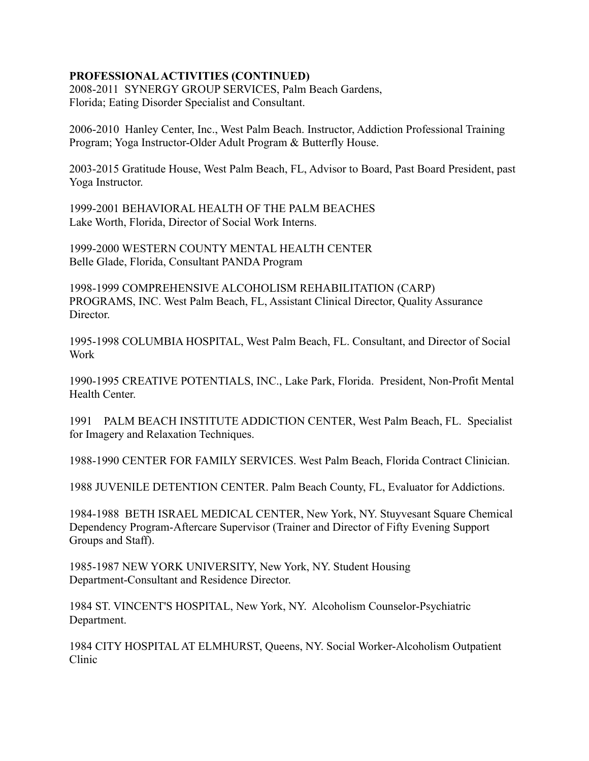# **PROFESSIONAL ACTIVITIES (CONTINUED)**

2008-2011 SYNERGY GROUP SERVICES, Palm Beach Gardens, Florida; Eating Disorder Specialist and Consultant.

2006-2010 Hanley Center, Inc., West Palm Beach. Instructor, Addiction Professional Training Program; Yoga Instructor-Older Adult Program & Butterfly House.

2003-2015 Gratitude House, West Palm Beach, FL, Advisor to Board, Past Board President, past Yoga Instructor.

1999-2001 BEHAVIORAL HEALTH OF THE PALM BEACHES Lake Worth, Florida, Director of Social Work Interns.

1999-2000 WESTERN COUNTY MENTAL HEALTH CENTER Belle Glade, Florida, Consultant PANDA Program

1998-1999 COMPREHENSIVE ALCOHOLISM REHABILITATION (CARP) PROGRAMS, INC. West Palm Beach, FL, Assistant Clinical Director, Quality Assurance Director.

1995-1998 COLUMBIA HOSPITAL, West Palm Beach, FL. Consultant, and Director of Social Work

1990-1995 CREATIVE POTENTIALS, INC., Lake Park, Florida. President, Non-Profit Mental Health Center.

1991 PALM BEACH INSTITUTE ADDICTION CENTER, West Palm Beach, FL. Specialist for Imagery and Relaxation Techniques.

1988-1990 CENTER FOR FAMILY SERVICES. West Palm Beach, Florida Contract Clinician.

1988 JUVENILE DETENTION CENTER. Palm Beach County, FL, Evaluator for Addictions.

1984-1988 BETH ISRAEL MEDICAL CENTER, New York, NY. Stuyvesant Square Chemical Dependency Program-Aftercare Supervisor (Trainer and Director of Fifty Evening Support Groups and Staff).

1985-1987 NEW YORK UNIVERSITY, New York, NY. Student Housing Department-Consultant and Residence Director.

1984 ST. VINCENT'S HOSPITAL, New York, NY. Alcoholism Counselor-Psychiatric Department.

1984 CITY HOSPITAL AT ELMHURST, Queens, NY. Social Worker-Alcoholism Outpatient Clinic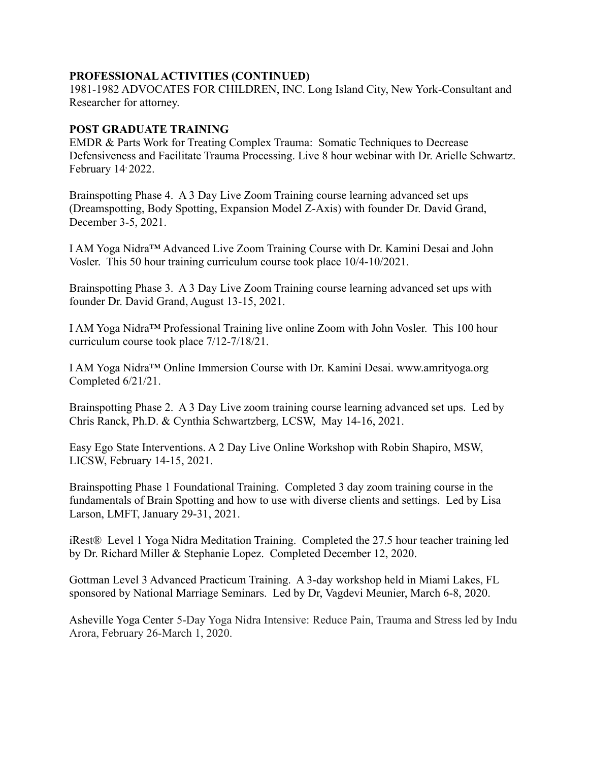#### **PROFESSIONAL ACTIVITIES (CONTINUED)**

1981-1982 ADVOCATES FOR CHILDREN, INC. Long Island City, New York-Consultant and Researcher for attorney.

#### **POST GRADUATE TRAINING**

EMDR & Parts Work for Treating Complex Trauma: Somatic Techniques to Decrease Defensiveness and Facilitate Trauma Processing. Live 8 hour webinar with Dr. Arielle Schwartz. February 14<sup>,</sup> 2022.

Brainspotting Phase 4. A 3 Day Live Zoom Training course learning advanced set ups (Dreamspotting, Body Spotting, Expansion Model Z-Axis) with founder Dr. David Grand, December 3-5, 2021.

I AM Yoga Nidra™ Advanced Live Zoom Training Course with Dr. Kamini Desai and John Vosler. This 50 hour training curriculum course took place 10/4-10/2021.

Brainspotting Phase 3. A 3 Day Live Zoom Training course learning advanced set ups with founder Dr. David Grand, August 13-15, 2021.

I AM Yoga Nidra™ Professional Training live online Zoom with John Vosler. This 100 hour curriculum course took place 7/12-7/18/21.

I AM Yoga Nidra™ Online Immersion Course with Dr. Kamini Desai. www.amrityoga.org Completed 6/21/21.

Brainspotting Phase 2. A 3 Day Live zoom training course learning advanced set ups. Led by Chris Ranck, Ph.D. & Cynthia Schwartzberg, LCSW, May 14-16, 2021.

Easy Ego State Interventions. A 2 Day Live Online Workshop with Robin Shapiro, MSW, LICSW, February 14-15, 2021.

Brainspotting Phase 1 Foundational Training. Completed 3 day zoom training course in the fundamentals of Brain Spotting and how to use with diverse clients and settings. Led by Lisa Larson, LMFT, January 29-31, 2021.

iRest® Level 1 Yoga Nidra Meditation Training. Completed the 27.5 hour teacher training led by Dr. Richard Miller & Stephanie Lopez. Completed December 12, 2020.

Gottman Level 3 Advanced Practicum Training. A 3-day workshop held in Miami Lakes, FL sponsored by National Marriage Seminars. Led by Dr, Vagdevi Meunier, March 6-8, 2020.

Asheville Yoga Center 5-Day Yoga Nidra Intensive: Reduce Pain, Trauma and Stress led by Indu Arora, February 26-March 1, 2020.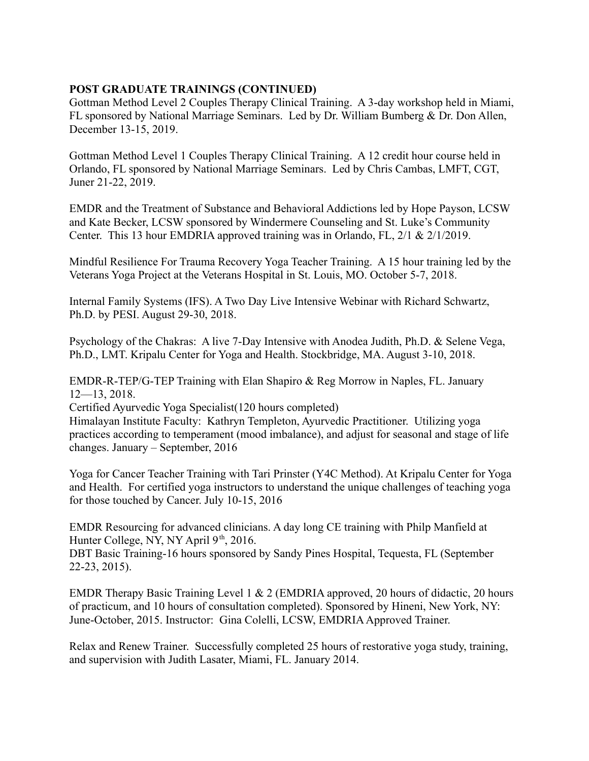# **POST GRADUATE TRAININGS (CONTINUED)**

Gottman Method Level 2 Couples Therapy Clinical Training. A 3-day workshop held in Miami, FL sponsored by National Marriage Seminars. Led by Dr. William Bumberg & Dr. Don Allen, December 13-15, 2019.

Gottman Method Level 1 Couples Therapy Clinical Training. A 12 credit hour course held in Orlando, FL sponsored by National Marriage Seminars. Led by Chris Cambas, LMFT, CGT, Juner 21-22, 2019.

EMDR and the Treatment of Substance and Behavioral Addictions led by Hope Payson, LCSW and Kate Becker, LCSW sponsored by Windermere Counseling and St. Luke's Community Center. This 13 hour EMDRIA approved training was in Orlando, FL, 2/1 & 2/1/2019.

Mindful Resilience For Trauma Recovery Yoga Teacher Training. A 15 hour training led by the Veterans Yoga Project at the Veterans Hospital in St. Louis, MO. October 5-7, 2018.

Internal Family Systems (IFS). A Two Day Live Intensive Webinar with Richard Schwartz, Ph.D. by PESI. August 29-30, 2018.

Psychology of the Chakras: A live 7-Day Intensive with Anodea Judith, Ph.D. & Selene Vega, Ph.D., LMT. Kripalu Center for Yoga and Health. Stockbridge, MA. August 3-10, 2018.

EMDR-R-TEP/G-TEP Training with Elan Shapiro & Reg Morrow in Naples, FL. January 12—13, 2018.

Certified Ayurvedic Yoga Specialist(120 hours completed)

Himalayan Institute Faculty: Kathryn Templeton, Ayurvedic Practitioner. Utilizing yoga practices according to temperament (mood imbalance), and adjust for seasonal and stage of life changes. January – September, 2016

Yoga for Cancer Teacher Training with Tari Prinster (Y4C Method). At Kripalu Center for Yoga and Health. For certified yoga instructors to understand the unique challenges of teaching yoga for those touched by Cancer. July 10-15, 2016

EMDR Resourcing for advanced clinicians. A day long CE training with Philp Manfield at Hunter College, NY, NY April  $9<sup>th</sup>$ , 2016.

DBT Basic Training-16 hours sponsored by Sandy Pines Hospital, Tequesta, FL (September 22-23, 2015).

EMDR Therapy Basic Training Level 1 & 2 (EMDRIA approved, 20 hours of didactic, 20 hours of practicum, and 10 hours of consultation completed). Sponsored by Hineni, New York, NY: June-October, 2015. Instructor: Gina Colelli, LCSW, EMDRIA Approved Trainer.

Relax and Renew Trainer. Successfully completed 25 hours of restorative yoga study, training, and supervision with Judith Lasater, Miami, FL. January 2014.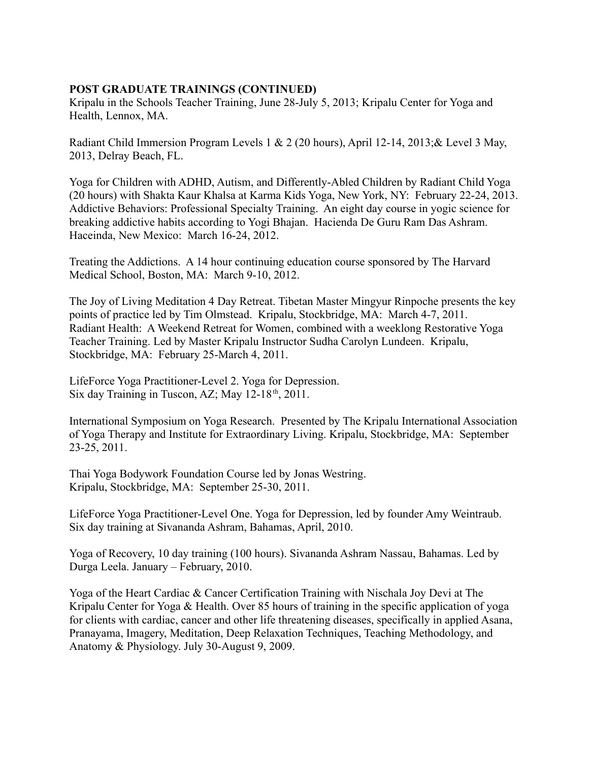# **POST GRADUATE TRAININGS (CONTINUED)**

Kripalu in the Schools Teacher Training, June 28-July 5, 2013; Kripalu Center for Yoga and Health, Lennox, MA.

Radiant Child Immersion Program Levels 1 & 2 (20 hours), April 12-14, 2013;& Level 3 May, 2013, Delray Beach, FL.

Yoga for Children with ADHD, Autism, and Differently-Abled Children by Radiant Child Yoga (20 hours) with Shakta Kaur Khalsa at Karma Kids Yoga, New York, NY: February 22-24, 2013. Addictive Behaviors: Professional Specialty Training. An eight day course in yogic science for breaking addictive habits according to Yogi Bhajan. Hacienda De Guru Ram Das Ashram. Haceinda, New Mexico: March 16-24, 2012.

Treating the Addictions. A 14 hour continuing education course sponsored by The Harvard Medical School, Boston, MA: March 9-10, 2012.

The Joy of Living Meditation 4 Day Retreat. Tibetan Master Mingyur Rinpoche presents the key points of practice led by Tim Olmstead. Kripalu, Stockbridge, MA: March 4-7, 2011. Radiant Health: A Weekend Retreat for Women, combined with a weeklong Restorative Yoga Teacher Training. Led by Master Kripalu Instructor Sudha Carolyn Lundeen. Kripalu, Stockbridge, MA: February 25-March 4, 2011.

LifeForce Yoga Practitioner-Level 2. Yoga for Depression. Six day Training in Tuscon, AZ; May  $12-18^{th}$ , 2011.

International Symposium on Yoga Research. Presented by The Kripalu International Association of Yoga Therapy and Institute for Extraordinary Living. Kripalu, Stockbridge, MA: September 23-25, 2011.

Thai Yoga Bodywork Foundation Course led by Jonas Westring. Kripalu, Stockbridge, MA: September 25-30, 2011.

LifeForce Yoga Practitioner-Level One. Yoga for Depression, led by founder Amy Weintraub. Six day training at Sivananda Ashram, Bahamas, April, 2010.

Yoga of Recovery, 10 day training (100 hours). Sivananda Ashram Nassau, Bahamas. Led by Durga Leela. January – February, 2010.

Yoga of the Heart Cardiac & Cancer Certification Training with Nischala Joy Devi at The Kripalu Center for Yoga & Health. Over 85 hours of training in the specific application of yoga for clients with cardiac, cancer and other life threatening diseases, specifically in applied Asana, Pranayama, Imagery, Meditation, Deep Relaxation Techniques, Teaching Methodology, and Anatomy & Physiology. July 30-August 9, 2009.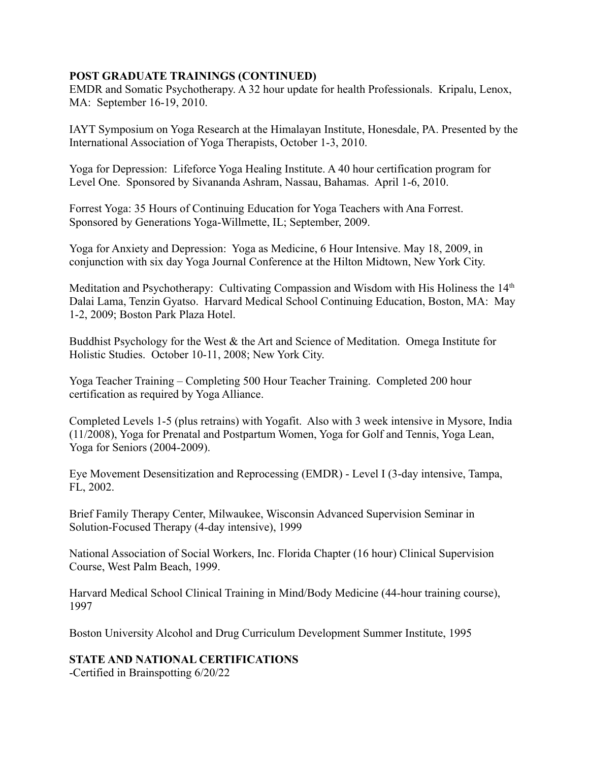# **POST GRADUATE TRAININGS (CONTINUED)**

EMDR and Somatic Psychotherapy. A 32 hour update for health Professionals. Kripalu, Lenox, MA: September 16-19, 2010.

IAYT Symposium on Yoga Research at the Himalayan Institute, Honesdale, PA. Presented by the International Association of Yoga Therapists, October 1-3, 2010.

Yoga for Depression: Lifeforce Yoga Healing Institute. A 40 hour certification program for Level One. Sponsored by Sivananda Ashram, Nassau, Bahamas. April 1-6, 2010.

Forrest Yoga: 35 Hours of Continuing Education for Yoga Teachers with Ana Forrest. Sponsored by Generations Yoga-Willmette, IL; September, 2009.

Yoga for Anxiety and Depression: Yoga as Medicine, 6 Hour Intensive. May 18, 2009, in conjunction with six day Yoga Journal Conference at the Hilton Midtown, New York City.

Meditation and Psychotherapy: Cultivating Compassion and Wisdom with His Holiness the 14<sup>th</sup> Dalai Lama, Tenzin Gyatso. Harvard Medical School Continuing Education, Boston, MA: May 1-2, 2009; Boston Park Plaza Hotel.

Buddhist Psychology for the West & the Art and Science of Meditation. Omega Institute for Holistic Studies. October 10-11, 2008; New York City.

Yoga Teacher Training – Completing 500 Hour Teacher Training. Completed 200 hour certification as required by Yoga Alliance.

Completed Levels 1-5 (plus retrains) with Yogafit. Also with 3 week intensive in Mysore, India (11/2008), Yoga for Prenatal and Postpartum Women, Yoga for Golf and Tennis, Yoga Lean, Yoga for Seniors (2004-2009).

Eye Movement Desensitization and Reprocessing (EMDR) - Level I (3-day intensive, Tampa, FL, 2002.

Brief Family Therapy Center, Milwaukee, Wisconsin Advanced Supervision Seminar in Solution-Focused Therapy (4-day intensive), 1999

National Association of Social Workers, Inc. Florida Chapter (16 hour) Clinical Supervision Course, West Palm Beach, 1999.

Harvard Medical School Clinical Training in Mind/Body Medicine (44-hour training course), 1997

Boston University Alcohol and Drug Curriculum Development Summer Institute, 1995

# **STATE AND NATIONAL CERTIFICATIONS**

-Certified in Brainspotting 6/20/22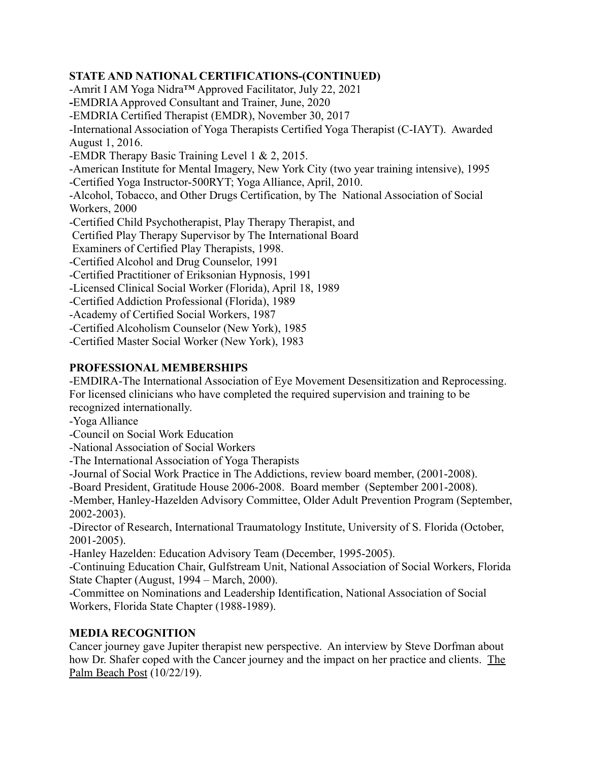# **STATE AND NATIONAL CERTIFICATIONS-(CONTINUED)**

-Amrit I AM Yoga Nidra™ Approved Facilitator, July 22, 2021 **-**EMDRIA Approved Consultant and Trainer, June, 2020 -EMDRIA Certified Therapist (EMDR), November 30, 2017 -International Association of Yoga Therapists Certified Yoga Therapist (C-IAYT). Awarded August 1, 2016. -EMDR Therapy Basic Training Level 1 & 2, 2015. -American Institute for Mental Imagery, New York City (two year training intensive), 1995 -Certified Yoga Instructor-500RYT; Yoga Alliance, April, 2010. -Alcohol, Tobacco, and Other Drugs Certification, by The National Association of Social Workers, 2000 -Certified Child Psychotherapist, Play Therapy Therapist, and Certified Play Therapy Supervisor by The International Board Examiners of Certified Play Therapists, 1998. -Certified Alcohol and Drug Counselor, 1991 -Certified Practitioner of Eriksonian Hypnosis, 1991 -Licensed Clinical Social Worker (Florida), April 18, 1989 -Certified Addiction Professional (Florida), 1989 -Academy of Certified Social Workers, 1987 -Certified Alcoholism Counselor (New York), 1985 -Certified Master Social Worker (New York), 1983

# **PROFESSIONAL MEMBERSHIPS**

-EMDIRA-The International Association of Eye Movement Desensitization and Reprocessing. For licensed clinicians who have completed the required supervision and training to be recognized internationally.

-Yoga Alliance

-Council on Social Work Education

-National Association of Social Workers

-The International Association of Yoga Therapists

-Journal of Social Work Practice in The Addictions, review board member, (2001-2008).

-Board President, Gratitude House 2006-2008. Board member (September 2001-2008).

-Member, Hanley-Hazelden Advisory Committee, Older Adult Prevention Program (September, 2002-2003).

-Director of Research, International Traumatology Institute, University of S. Florida (October, 2001-2005).

-Hanley Hazelden: Education Advisory Team (December, 1995-2005).

-Continuing Education Chair, Gulfstream Unit, National Association of Social Workers, Florida State Chapter (August, 1994 – March, 2000).

-Committee on Nominations and Leadership Identification, National Association of Social Workers, Florida State Chapter (1988-1989).

# **MEDIA RECOGNITION**

Cancer journey gave Jupiter therapist new perspective. An interview by Steve Dorfman about how Dr. Shafer coped with the Cancer journey and the impact on her practice and clients. The Palm Beach Post (10/22/19).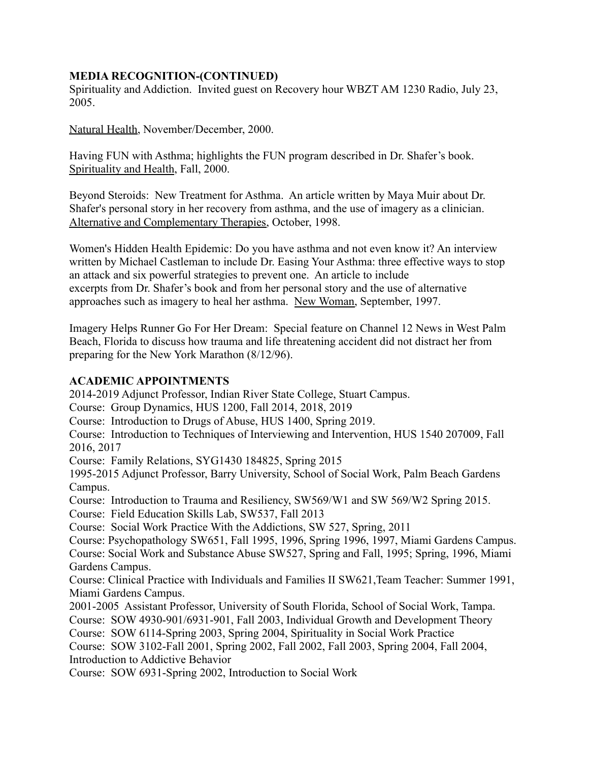# **MEDIA RECOGNITION-(CONTINUED)**

Spirituality and Addiction. Invited guest on Recovery hour WBZT AM 1230 Radio, July 23, 2005.

Natural Health, November/December, 2000.

Having FUN with Asthma; highlights the FUN program described in Dr. Shafer's book. Spirituality and Health, Fall, 2000.

Beyond Steroids: New Treatment for Asthma. An article written by Maya Muir about Dr. Shafer's personal story in her recovery from asthma, and the use of imagery as a clinician. Alternative and Complementary Therapies, October, 1998.

Women's Hidden Health Epidemic: Do you have asthma and not even know it? An interview written by Michael Castleman to include Dr. Easing Your Asthma: three effective ways to stop an attack and six powerful strategies to prevent one. An article to include excerpts from Dr. Shafer's book and from her personal story and the use of alternative approaches such as imagery to heal her asthma. New Woman, September, 1997.

Imagery Helps Runner Go For Her Dream: Special feature on Channel 12 News in West Palm Beach, Florida to discuss how trauma and life threatening accident did not distract her from preparing for the New York Marathon (8/12/96).

# **ACADEMIC APPOINTMENTS**

2014-2019 Adjunct Professor, Indian River State College, Stuart Campus.

Course: Group Dynamics, HUS 1200, Fall 2014, 2018, 2019

Course: Introduction to Drugs of Abuse, HUS 1400, Spring 2019.

Course: Introduction to Techniques of Interviewing and Intervention, HUS 1540 207009, Fall 2016, 2017

Course: Family Relations, SYG1430 184825, Spring 2015

1995-2015 Adjunct Professor, Barry University, School of Social Work, Palm Beach Gardens Campus.

Course: Introduction to Trauma and Resiliency, SW569/W1 and SW 569/W2 Spring 2015.

Course: Field Education Skills Lab, SW537, Fall 2013

Course: Social Work Practice With the Addictions, SW 527, Spring, 2011

Course: Psychopathology SW651, Fall 1995, 1996, Spring 1996, 1997, Miami Gardens Campus. Course: Social Work and Substance Abuse SW527, Spring and Fall, 1995; Spring, 1996, Miami Gardens Campus.

Course: Clinical Practice with Individuals and Families II SW621,Team Teacher: Summer 1991, Miami Gardens Campus.

2001-2005 Assistant Professor, University of South Florida, School of Social Work, Tampa. Course: SOW 4930-901/6931-901, Fall 2003, Individual Growth and Development Theory

Course: SOW 6114-Spring 2003, Spring 2004, Spirituality in Social Work Practice

Course: SOW 3102-Fall 2001, Spring 2002, Fall 2002, Fall 2003, Spring 2004, Fall 2004, Introduction to Addictive Behavior

Course: SOW 6931-Spring 2002, Introduction to Social Work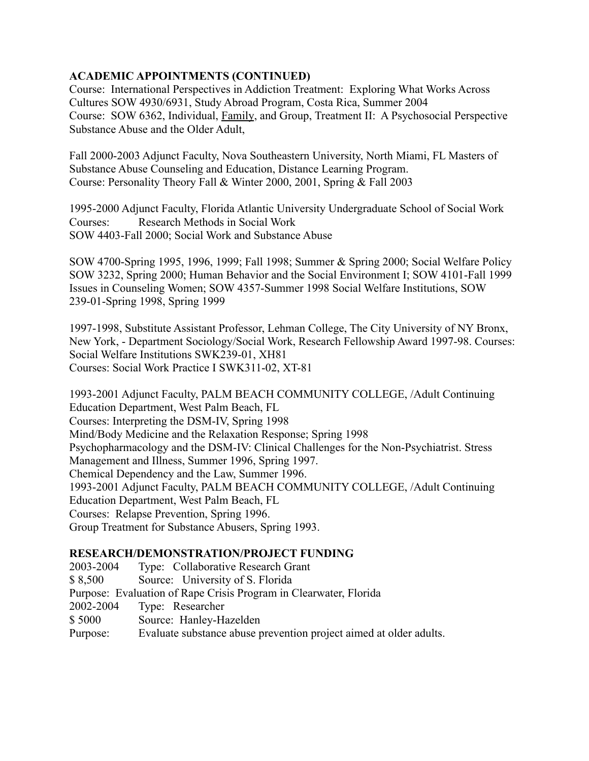# **ACADEMIC APPOINTMENTS (CONTINUED)**

Course: International Perspectives in Addiction Treatment: Exploring What Works Across Cultures SOW 4930/6931, Study Abroad Program, Costa Rica, Summer 2004 Course: SOW 6362, Individual, Family, and Group, Treatment II: A Psychosocial Perspective Substance Abuse and the Older Adult,

Fall 2000-2003 Adjunct Faculty, Nova Southeastern University, North Miami, FL Masters of Substance Abuse Counseling and Education, Distance Learning Program. Course: Personality Theory Fall & Winter 2000, 2001, Spring & Fall 2003

1995-2000 Adjunct Faculty, Florida Atlantic University Undergraduate School of Social Work Courses: Research Methods in Social Work SOW 4403-Fall 2000; Social Work and Substance Abuse

SOW 4700-Spring 1995, 1996, 1999; Fall 1998; Summer & Spring 2000; Social Welfare Policy SOW 3232, Spring 2000; Human Behavior and the Social Environment I; SOW 4101-Fall 1999 Issues in Counseling Women; SOW 4357-Summer 1998 Social Welfare Institutions, SOW 239-01-Spring 1998, Spring 1999

1997-1998, Substitute Assistant Professor, Lehman College, The City University of NY Bronx, New York, - Department Sociology/Social Work, Research Fellowship Award 1997-98. Courses: Social Welfare Institutions SWK239-01, XH81 Courses: Social Work Practice I SWK311-02, XT-81

1993-2001 Adjunct Faculty, PALM BEACH COMMUNITY COLLEGE, /Adult Continuing Education Department, West Palm Beach, FL Courses: Interpreting the DSM-IV, Spring 1998 Mind/Body Medicine and the Relaxation Response; Spring 1998 Psychopharmacology and the DSM-IV: Clinical Challenges for the Non-Psychiatrist. Stress Management and Illness, Summer 1996, Spring 1997. Chemical Dependency and the Law, Summer 1996. 1993-2001 Adjunct Faculty, PALM BEACH COMMUNITY COLLEGE, /Adult Continuing Education Department, West Palm Beach, FL Courses: Relapse Prevention, Spring 1996. Group Treatment for Substance Abusers, Spring 1993.

# **RESEARCH/DEMONSTRATION/PROJECT FUNDING**

2003-2004 Type: Collaborative Research Grant \$ 8,500 Source: University of S. Florida Purpose: Evaluation of Rape Crisis Program in Clearwater, Florida 2002-2004 Type: Researcher \$ 5000 Source: Hanley-Hazelden Purpose: Evaluate substance abuse prevention project aimed at older adults.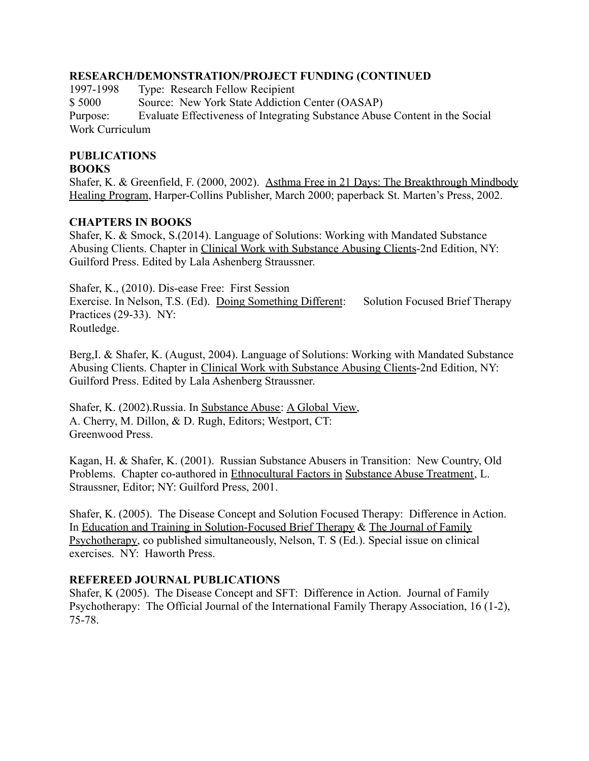#### **RESEARCH/DEMONSTRATION/PROJECT FUNDING (CONTINUED**

1997-1998 Type: Research Fellow Recipient \$ 5000 Source: New York State Addiction Center (OASAP) Purpose: Evaluate Effectiveness of Integrating Substance Abuse Content in the Social Work Curriculum

# **PUBLICATIONS**

#### **BOOKS**

Shafer, K. & Greenfield, F. (2000, 2002). Asthma Free in 21 Days: The Breakthrough Mindbody Healing Program, Harper-Collins Publisher, March 2000; paperback St. Marten's Press, 2002.

# **CHAPTERS IN BOOKS**

Shafer, K. & Smock, S.(2014). Language of Solutions: Working with Mandated Substance Abusing Clients. Chapter in Clinical Work with Substance Abusing Clients-2nd Edition, NY: Guilford Press. Edited by Lala Ashenberg Straussner.

Shafer, K., (2010). Dis-ease Free: First Session Exercise. In Nelson, T.S. (Ed). Doing Something Different: Solution Focused Brief Therapy Practices (29-33). NY: Routledge.

Berg,I. & Shafer, K. (August, 2004). Language of Solutions: Working with Mandated Substance Abusing Clients. Chapter in Clinical Work with Substance Abusing Clients-2nd Edition, NY: Guilford Press. Edited by Lala Ashenberg Straussner.

Shafer, K. (2002).Russia. In Substance Abuse: A Global View, A. Cherry, M. Dillon, & D. Rugh, Editors; Westport, CT: Greenwood Press.

Kagan, H. & Shafer, K. (2001). Russian Substance Abusers in Transition: New Country, Old Problems. Chapter co-authored in Ethnocultural Factors in Substance Abuse Treatment, L. Straussner, Editor; NY: Guilford Press, 2001.

Shafer, K. (2005). The Disease Concept and Solution Focused Therapy: Difference in Action. In Education and Training in Solution-Focused Brief Therapy & The Journal of Family Psychotherapy, co published simultaneously, Nelson, T. S (Ed.). Special issue on clinical exercises. NY: Haworth Press.

# **REFEREED JOURNAL PUBLICATIONS**

Shafer, K (2005). The Disease Concept and SFT: Difference in Action. Journal of Family Psychotherapy: The Official Journal of the International Family Therapy Association, 16 (1-2), 75-78.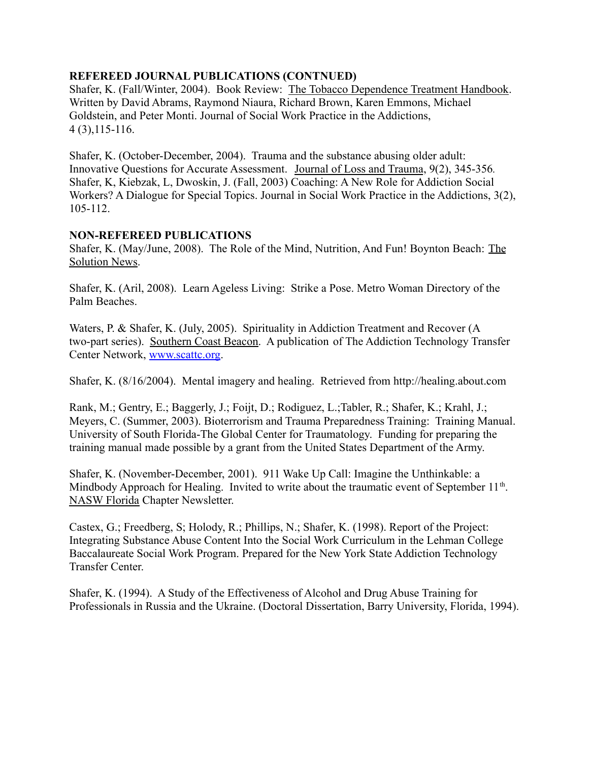#### **REFEREED JOURNAL PUBLICATIONS (CONTNUED)**

Shafer, K. (Fall/Winter, 2004). Book Review: The Tobacco Dependence Treatment Handbook. Written by David Abrams, Raymond Niaura, Richard Brown, Karen Emmons, Michael Goldstein, and Peter Monti. Journal of Social Work Practice in the Addictions, 4 (3),115-116.

Shafer, K. (October-December, 2004). Trauma and the substance abusing older adult: Innovative Questions for Accurate Assessment. Journal of Loss and Trauma, 9(2), 345-356*.* Shafer, K, Kiebzak, L, Dwoskin, J. (Fall, 2003) Coaching: A New Role for Addiction Social Workers? A Dialogue for Special Topics. Journal in Social Work Practice in the Addictions, 3(2), 105-112.

#### **NON-REFEREED PUBLICATIONS**

Shafer, K. (May/June, 2008). The Role of the Mind, Nutrition, And Fun! Boynton Beach: The Solution News.

Shafer, K. (Aril, 2008). Learn Ageless Living: Strike a Pose. Metro Woman Directory of the Palm Beaches.

Waters, P. & Shafer, K. (July, 2005). Spirituality in Addiction Treatment and Recover (A two-part series). Southern Coast Beacon. A publication of The Addiction Technology Transfer Center Network, [www.scattc.org](http://www.scattc.org).

Shafer, K. (8/16/2004). Mental imagery and healing. Retrieved from http://healing.about.com

Rank, M.; Gentry, E.; Baggerly, J.; Foijt, D.; Rodiguez, L.;Tabler, R.; Shafer, K.; Krahl, J.; Meyers, C. (Summer, 2003). Bioterrorism and Trauma Preparedness Training: Training Manual. University of South Florida-The Global Center for Traumatology. Funding for preparing the training manual made possible by a grant from the United States Department of the Army.

Shafer, K. (November-December, 2001). 911 Wake Up Call: Imagine the Unthinkable: a Mindbody Approach for Healing. Invited to write about the traumatic event of September 11<sup>th</sup>. NASW Florida Chapter Newsletter.

Castex, G.; Freedberg, S; Holody, R.; Phillips, N.; Shafer, K. (1998). Report of the Project: Integrating Substance Abuse Content Into the Social Work Curriculum in the Lehman College Baccalaureate Social Work Program. Prepared for the New York State Addiction Technology Transfer Center.

Shafer, K. (1994). A Study of the Effectiveness of Alcohol and Drug Abuse Training for Professionals in Russia and the Ukraine. (Doctoral Dissertation, Barry University, Florida, 1994).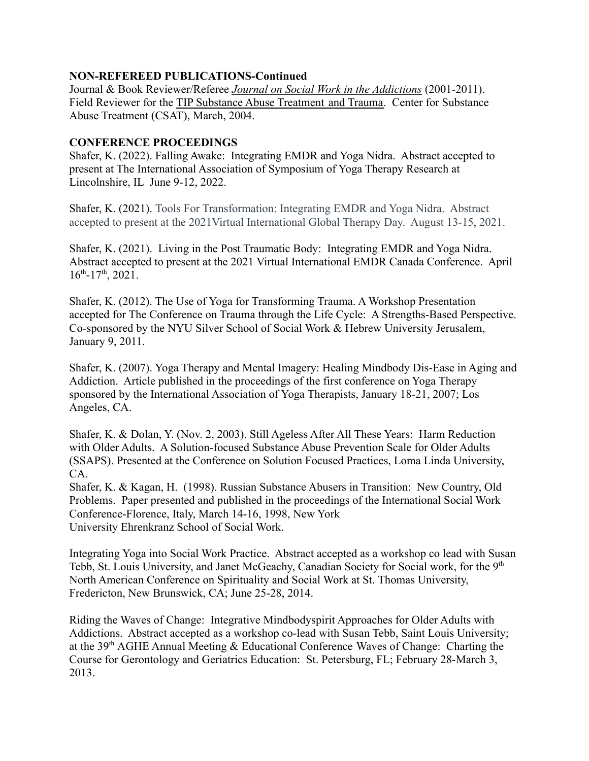#### **NON-REFEREED PUBLICATIONS-Continued**

Journal & Book Reviewer/Referee *Journal on Social Work in the Addictions* (2001-2011). Field Reviewer for the TIP Substance Abuse Treatment and Trauma. Center for Substance Abuse Treatment (CSAT), March, 2004.

# **CONFERENCE PROCEEDINGS**

Shafer, K. (2022). Falling Awake: Integrating EMDR and Yoga Nidra. Abstract accepted to present at The International Association of Symposium of Yoga Therapy Research at Lincolnshire, IL June 9-12, 2022.

Shafer, K. (2021). Tools For Transformation: Integrating EMDR and Yoga Nidra. Abstract accepted to present at the 2021Virtual International Global Therapy Day. August 13-15, 2021.

Shafer, K. (2021). Living in the Post Traumatic Body: Integrating EMDR and Yoga Nidra. Abstract accepted to present at the 2021 Virtual International EMDR Canada Conference. April  $16^{th}$ -17<sup>th</sup>, 2021.

Shafer, K. (2012). The Use of Yoga for Transforming Trauma. A Workshop Presentation accepted for The Conference on Trauma through the Life Cycle: A Strengths-Based Perspective. Co-sponsored by the NYU Silver School of Social Work & Hebrew University Jerusalem, January 9, 2011.

Shafer, K. (2007). Yoga Therapy and Mental Imagery: Healing Mindbody Dis-Ease in Aging and Addiction. Article published in the proceedings of the first conference on Yoga Therapy sponsored by the International Association of Yoga Therapists, January 18-21, 2007; Los Angeles, CA.

Shafer, K. & Dolan, Y. (Nov. 2, 2003). Still Ageless After All These Years: Harm Reduction with Older Adults. A Solution-focused Substance Abuse Prevention Scale for Older Adults (SSAPS). Presented at the Conference on Solution Focused Practices, Loma Linda University, CA.

Shafer, K. & Kagan, H. (1998). Russian Substance Abusers in Transition: New Country, Old Problems. Paper presented and published in the proceedings of the International Social Work Conference-Florence, Italy, March 14-16, 1998, New York University Ehrenkranz School of Social Work.

Integrating Yoga into Social Work Practice. Abstract accepted as a workshop co lead with Susan Tebb, St. Louis University, and Janet McGeachy, Canadian Society for Social work, for the 9<sup>th</sup> North American Conference on Spirituality and Social Work at St. Thomas University, Fredericton, New Brunswick, CA; June 25-28, 2014.

Riding the Waves of Change: Integrative Mindbodyspirit Approaches for Older Adults with Addictions. Abstract accepted as a workshop co-lead with Susan Tebb, Saint Louis University; at the 39<sup>th</sup> AGHE Annual Meeting & Educational Conference Waves of Change: Charting the Course for Gerontology and Geriatrics Education: St. Petersburg, FL; February 28-March 3, 2013.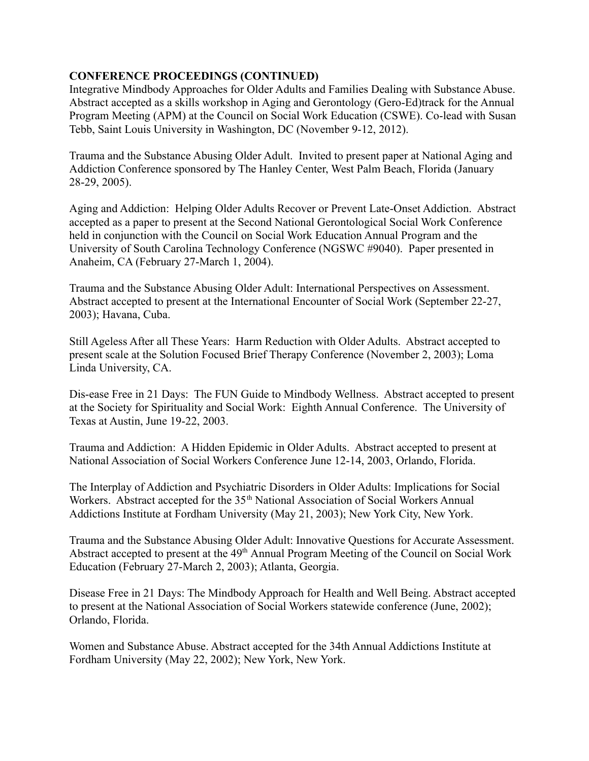# **CONFERENCE PROCEEDINGS (CONTINUED)**

Integrative Mindbody Approaches for Older Adults and Families Dealing with Substance Abuse. Abstract accepted as a skills workshop in Aging and Gerontology (Gero-Ed)track for the Annual Program Meeting (APM) at the Council on Social Work Education (CSWE). Co-lead with Susan Tebb, Saint Louis University in Washington, DC (November 9-12, 2012).

Trauma and the Substance Abusing Older Adult. Invited to present paper at National Aging and Addiction Conference sponsored by The Hanley Center, West Palm Beach, Florida (January 28-29, 2005).

Aging and Addiction: Helping Older Adults Recover or Prevent Late-Onset Addiction. Abstract accepted as a paper to present at the Second National Gerontological Social Work Conference held in conjunction with the Council on Social Work Education Annual Program and the University of South Carolina Technology Conference (NGSWC #9040). Paper presented in Anaheim, CA (February 27-March 1, 2004).

Trauma and the Substance Abusing Older Adult: International Perspectives on Assessment. Abstract accepted to present at the International Encounter of Social Work (September 22-27, 2003); Havana, Cuba.

Still Ageless After all These Years: Harm Reduction with Older Adults. Abstract accepted to present scale at the Solution Focused Brief Therapy Conference (November 2, 2003); Loma Linda University, CA.

Dis-ease Free in 21 Days: The FUN Guide to Mindbody Wellness. Abstract accepted to present at the Society for Spirituality and Social Work: Eighth Annual Conference. The University of Texas at Austin, June 19-22, 2003.

Trauma and Addiction: A Hidden Epidemic in Older Adults. Abstract accepted to present at National Association of Social Workers Conference June 12-14, 2003, Orlando, Florida.

The Interplay of Addiction and Psychiatric Disorders in Older Adults: Implications for Social Workers. Abstract accepted for the 35<sup>th</sup> National Association of Social Workers Annual Addictions Institute at Fordham University (May 21, 2003); New York City, New York.

Trauma and the Substance Abusing Older Adult: Innovative Questions for Accurate Assessment. Abstract accepted to present at the 49<sup>th</sup> Annual Program Meeting of the Council on Social Work Education (February 27-March 2, 2003); Atlanta, Georgia.

Disease Free in 21 Days: The Mindbody Approach for Health and Well Being. Abstract accepted to present at the National Association of Social Workers statewide conference (June, 2002); Orlando, Florida.

Women and Substance Abuse. Abstract accepted for the 34th Annual Addictions Institute at Fordham University (May 22, 2002); New York, New York.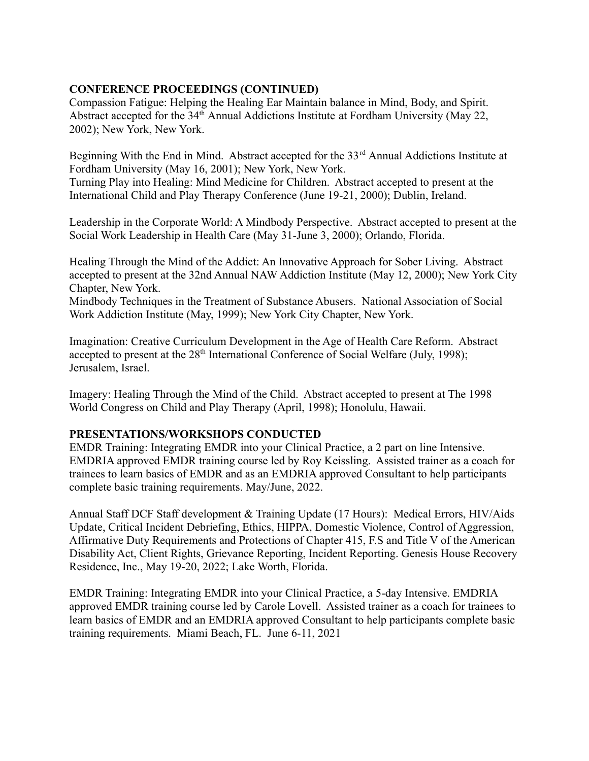# **CONFERENCE PROCEEDINGS (CONTINUED)**

Compassion Fatigue: Helping the Healing Ear Maintain balance in Mind, Body, and Spirit. Abstract accepted for the 34<sup>th</sup> Annual Addictions Institute at Fordham University (May 22, 2002); New York, New York.

Beginning With the End in Mind. Abstract accepted for the 33<sup>rd</sup> Annual Addictions Institute at Fordham University (May 16, 2001); New York, New York. Turning Play into Healing: Mind Medicine for Children. Abstract accepted to present at the

International Child and Play Therapy Conference (June 19-21, 2000); Dublin, Ireland.

Leadership in the Corporate World: A Mindbody Perspective. Abstract accepted to present at the Social Work Leadership in Health Care (May 31-June 3, 2000); Orlando, Florida.

Healing Through the Mind of the Addict: An Innovative Approach for Sober Living. Abstract accepted to present at the 32nd Annual NAW Addiction Institute (May 12, 2000); New York City Chapter, New York.

Mindbody Techniques in the Treatment of Substance Abusers. National Association of Social Work Addiction Institute (May, 1999); New York City Chapter, New York.

Imagination: Creative Curriculum Development in the Age of Health Care Reform. Abstract accepted to present at the 28<sup>th</sup> International Conference of Social Welfare (July, 1998); Jerusalem, Israel.

Imagery: Healing Through the Mind of the Child. Abstract accepted to present at The 1998 World Congress on Child and Play Therapy (April, 1998); Honolulu, Hawaii.

# **PRESENTATIONS/WORKSHOPS CONDUCTED**

EMDR Training: Integrating EMDR into your Clinical Practice, a 2 part on line Intensive. EMDRIA approved EMDR training course led by Roy Keissling. Assisted trainer as a coach for trainees to learn basics of EMDR and as an EMDRIA approved Consultant to help participants complete basic training requirements. May/June, 2022.

Annual Staff DCF Staff development & Training Update (17 Hours): Medical Errors, HIV/Aids Update, Critical Incident Debriefing, Ethics, HIPPA, Domestic Violence, Control of Aggression, Affirmative Duty Requirements and Protections of Chapter 415, F.S and Title V of the American Disability Act, Client Rights, Grievance Reporting, Incident Reporting. Genesis House Recovery Residence, Inc., May 19-20, 2022; Lake Worth, Florida.

EMDR Training: Integrating EMDR into your Clinical Practice, a 5-day Intensive. EMDRIA approved EMDR training course led by Carole Lovell. Assisted trainer as a coach for trainees to learn basics of EMDR and an EMDRIA approved Consultant to help participants complete basic training requirements. Miami Beach, FL. June 6-11, 2021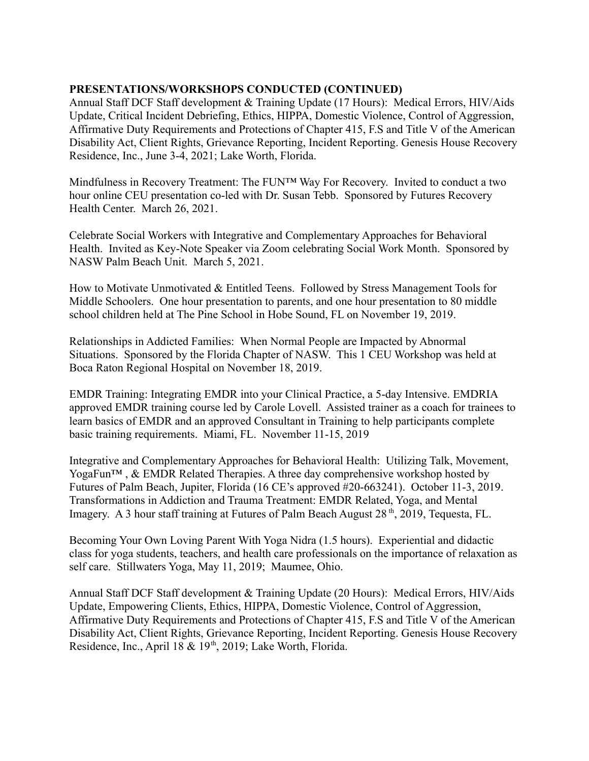Annual Staff DCF Staff development & Training Update (17 Hours): Medical Errors, HIV/Aids Update, Critical Incident Debriefing, Ethics, HIPPA, Domestic Violence, Control of Aggression, Affirmative Duty Requirements and Protections of Chapter 415, F.S and Title V of the American Disability Act, Client Rights, Grievance Reporting, Incident Reporting. Genesis House Recovery Residence, Inc., June 3-4, 2021; Lake Worth, Florida.

Mindfulness in Recovery Treatment: The FUN™ Way For Recovery. Invited to conduct a two hour online CEU presentation co-led with Dr. Susan Tebb. Sponsored by Futures Recovery Health Center. March 26, 2021.

Celebrate Social Workers with Integrative and Complementary Approaches for Behavioral Health. Invited as Key-Note Speaker via Zoom celebrating Social Work Month. Sponsored by NASW Palm Beach Unit. March 5, 2021.

How to Motivate Unmotivated & Entitled Teens. Followed by Stress Management Tools for Middle Schoolers. One hour presentation to parents, and one hour presentation to 80 middle school children held at The Pine School in Hobe Sound, FL on November 19, 2019.

Relationships in Addicted Families: When Normal People are Impacted by Abnormal Situations. Sponsored by the Florida Chapter of NASW. This 1 CEU Workshop was held at Boca Raton Regional Hospital on November 18, 2019.

EMDR Training: Integrating EMDR into your Clinical Practice, a 5-day Intensive. EMDRIA approved EMDR training course led by Carole Lovell. Assisted trainer as a coach for trainees to learn basics of EMDR and an approved Consultant in Training to help participants complete basic training requirements. Miami, FL. November 11-15, 2019

Integrative and Complementary Approaches for Behavioral Health: Utilizing Talk, Movement, YogaFun<sup>™</sup>, & EMDR Related Therapies. A three day comprehensive workshop hosted by Futures of Palm Beach, Jupiter, Florida (16 CE's approved #20-663241). October 11-3, 2019. Transformations in Addiction and Trauma Treatment: EMDR Related, Yoga, and Mental Imagery. A 3 hour staff training at Futures of Palm Beach August 28<sup>th</sup>, 2019, Tequesta, FL.

Becoming Your Own Loving Parent With Yoga Nidra (1.5 hours). Experiential and didactic class for yoga students, teachers, and health care professionals on the importance of relaxation as self care. Stillwaters Yoga, May 11, 2019; Maumee, Ohio.

Annual Staff DCF Staff development & Training Update (20 Hours): Medical Errors, HIV/Aids Update, Empowering Clients, Ethics, HIPPA, Domestic Violence, Control of Aggression, Affirmative Duty Requirements and Protections of Chapter 415, F.S and Title V of the American Disability Act, Client Rights, Grievance Reporting, Incident Reporting. Genesis House Recovery Residence, Inc., April 18 & 19<sup>th</sup>, 2019; Lake Worth, Florida.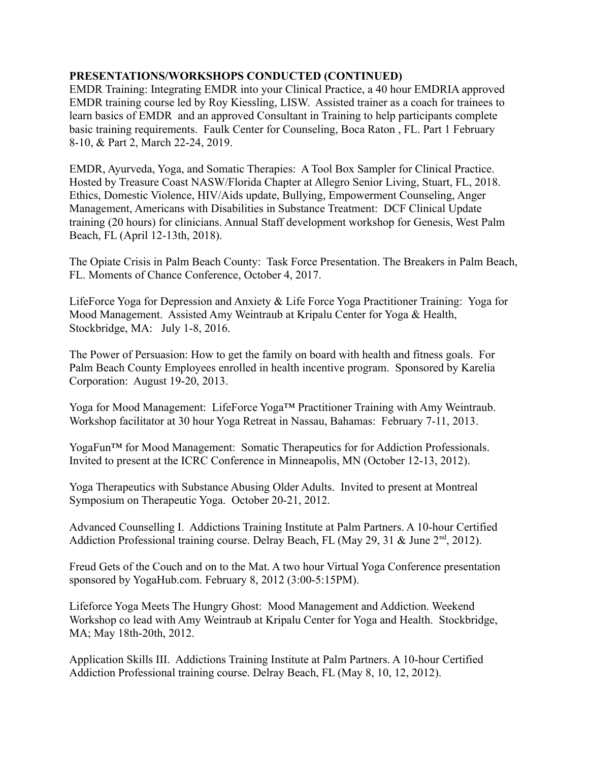EMDR Training: Integrating EMDR into your Clinical Practice, a 40 hour EMDRIA approved EMDR training course led by Roy Kiessling, LISW. Assisted trainer as a coach for trainees to learn basics of EMDR and an approved Consultant in Training to help participants complete basic training requirements. Faulk Center for Counseling, Boca Raton , FL. Part 1 February 8-10, & Part 2, March 22-24, 2019.

EMDR, Ayurveda, Yoga, and Somatic Therapies: A Tool Box Sampler for Clinical Practice. Hosted by Treasure Coast NASW/Florida Chapter at Allegro Senior Living, Stuart, FL, 2018. Ethics, Domestic Violence, HIV/Aids update, Bullying, Empowerment Counseling, Anger Management, Americans with Disabilities in Substance Treatment: DCF Clinical Update training (20 hours) for clinicians. Annual Staff development workshop for Genesis, West Palm Beach, FL (April 12-13th, 2018).

The Opiate Crisis in Palm Beach County: Task Force Presentation. The Breakers in Palm Beach, FL. Moments of Chance Conference, October 4, 2017.

LifeForce Yoga for Depression and Anxiety & Life Force Yoga Practitioner Training: Yoga for Mood Management. Assisted Amy Weintraub at Kripalu Center for Yoga & Health, Stockbridge, MA: July 1-8, 2016.

The Power of Persuasion: How to get the family on board with health and fitness goals. For Palm Beach County Employees enrolled in health incentive program. Sponsored by Karelia Corporation: August 19-20, 2013.

Yoga for Mood Management: LifeForce Yoga™ Practitioner Training with Amy Weintraub. Workshop facilitator at 30 hour Yoga Retreat in Nassau, Bahamas: February 7-11, 2013.

YogaFun™ for Mood Management: Somatic Therapeutics for for Addiction Professionals. Invited to present at the ICRC Conference in Minneapolis, MN (October 12-13, 2012).

Yoga Therapeutics with Substance Abusing Older Adults. Invited to present at Montreal Symposium on Therapeutic Yoga. October 20-21, 2012.

Advanced Counselling I. Addictions Training Institute at Palm Partners. A 10-hour Certified Addiction Professional training course. Delray Beach, FL (May 29, 31  $\&$  June 2<sup>nd</sup>, 2012).

Freud Gets of the Couch and on to the Mat. A two hour Virtual Yoga Conference presentation sponsored by YogaHub.com. February 8, 2012 (3:00-5:15PM).

Lifeforce Yoga Meets The Hungry Ghost: Mood Management and Addiction. Weekend Workshop co lead with Amy Weintraub at Kripalu Center for Yoga and Health. Stockbridge, MA; May 18th-20th, 2012.

Application Skills III. Addictions Training Institute at Palm Partners. A 10-hour Certified Addiction Professional training course. Delray Beach, FL (May 8, 10, 12, 2012).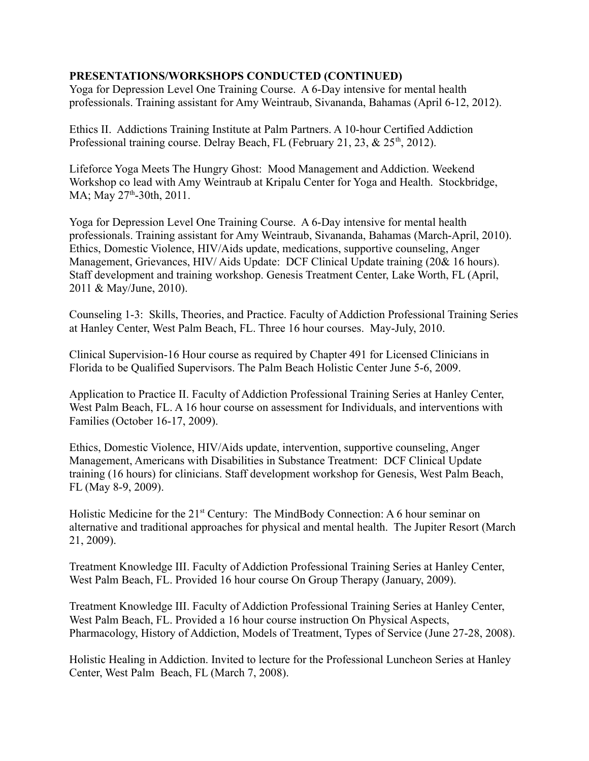Yoga for Depression Level One Training Course. A 6-Day intensive for mental health professionals. Training assistant for Amy Weintraub, Sivananda, Bahamas (April 6-12, 2012).

Ethics II. Addictions Training Institute at Palm Partners. A 10-hour Certified Addiction Professional training course. Delray Beach, FL (February 21, 23,  $\&$  25<sup>th</sup>, 2012).

Lifeforce Yoga Meets The Hungry Ghost: Mood Management and Addiction. Weekend Workshop co lead with Amy Weintraub at Kripalu Center for Yoga and Health. Stockbridge, MA; May 27<sup>th</sup>-30th, 2011.

Yoga for Depression Level One Training Course. A 6-Day intensive for mental health professionals. Training assistant for Amy Weintraub, Sivananda, Bahamas (March-April, 2010). Ethics, Domestic Violence, HIV/Aids update, medications, supportive counseling, Anger Management, Grievances, HIV/ Aids Update: DCF Clinical Update training (20& 16 hours). Staff development and training workshop. Genesis Treatment Center, Lake Worth, FL (April, 2011 & May/June, 2010).

Counseling 1-3: Skills, Theories, and Practice. Faculty of Addiction Professional Training Series at Hanley Center, West Palm Beach, FL. Three 16 hour courses. May-July, 2010.

Clinical Supervision-16 Hour course as required by Chapter 491 for Licensed Clinicians in Florida to be Qualified Supervisors. The Palm Beach Holistic Center June 5-6, 2009.

Application to Practice II. Faculty of Addiction Professional Training Series at Hanley Center, West Palm Beach, FL. A 16 hour course on assessment for Individuals, and interventions with Families (October 16-17, 2009).

Ethics, Domestic Violence, HIV/Aids update, intervention, supportive counseling, Anger Management, Americans with Disabilities in Substance Treatment: DCF Clinical Update training (16 hours) for clinicians. Staff development workshop for Genesis, West Palm Beach, FL (May 8-9, 2009).

Holistic Medicine for the 21<sup>st</sup> Century: The MindBody Connection: A 6 hour seminar on alternative and traditional approaches for physical and mental health. The Jupiter Resort (March 21, 2009).

Treatment Knowledge III. Faculty of Addiction Professional Training Series at Hanley Center, West Palm Beach, FL. Provided 16 hour course On Group Therapy (January, 2009).

Treatment Knowledge III. Faculty of Addiction Professional Training Series at Hanley Center, West Palm Beach, FL. Provided a 16 hour course instruction On Physical Aspects, Pharmacology, History of Addiction, Models of Treatment, Types of Service (June 27-28, 2008).

Holistic Healing in Addiction. Invited to lecture for the Professional Luncheon Series at Hanley Center, West Palm Beach, FL (March 7, 2008).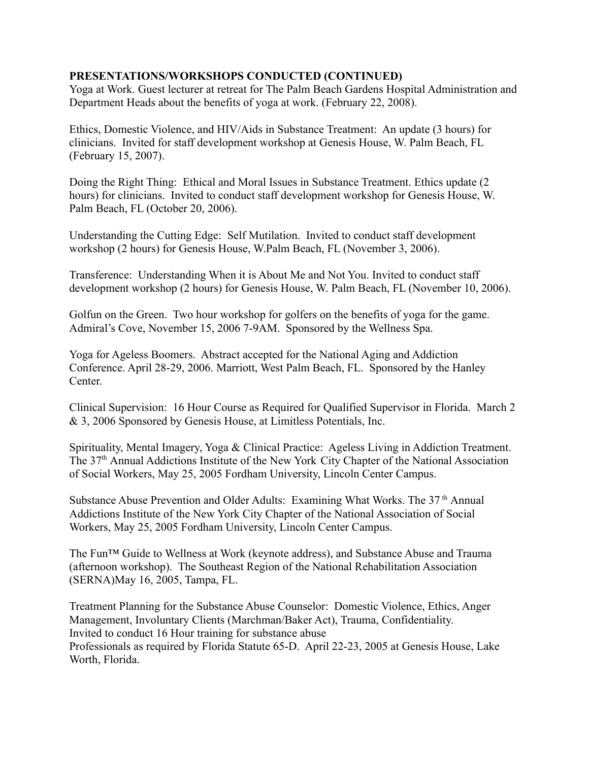Yoga at Work. Guest lecturer at retreat for The Palm Beach Gardens Hospital Administration and Department Heads about the benefits of yoga at work. (February 22, 2008).

Ethics, Domestic Violence, and HIV/Aids in Substance Treatment: An update (3 hours) for clinicians. Invited for staff development workshop at Genesis House, W. Palm Beach, FL (February 15, 2007).

Doing the Right Thing: Ethical and Moral Issues in Substance Treatment. Ethics update (2 hours) for clinicians. Invited to conduct staff development workshop for Genesis House, W. Palm Beach, FL (October 20, 2006).

Understanding the Cutting Edge: Self Mutilation. Invited to conduct staff development workshop (2 hours) for Genesis House, W.Palm Beach, FL (November 3, 2006).

Transference: Understanding When it is About Me and Not You. Invited to conduct staff development workshop (2 hours) for Genesis House, W. Palm Beach, FL (November 10, 2006).

Golfun on the Green. Two hour workshop for golfers on the benefits of yoga for the game. Admiral's Cove, November 15, 2006 7-9AM. Sponsored by the Wellness Spa.

Yoga for Ageless Boomers. Abstract accepted for the National Aging and Addiction Conference. April 28-29, 2006. Marriott, West Palm Beach, FL. Sponsored by the Hanley Center.

Clinical Supervision: 16 Hour Course as Required for Qualified Supervisor in Florida. March 2 & 3, 2006 Sponsored by Genesis House, at Limitless Potentials, Inc.

Spirituality, Mental Imagery, Yoga & Clinical Practice: Ageless Living in Addiction Treatment. The 37<sup>th</sup> Annual Addictions Institute of the New York City Chapter of the National Association of Social Workers, May 25, 2005 Fordham University, Lincoln Center Campus.

Substance Abuse Prevention and Older Adults: Examining What Works. The 37<sup>th</sup> Annual Addictions Institute of the New York City Chapter of the National Association of Social Workers, May 25, 2005 Fordham University, Lincoln Center Campus.

The Fun™ Guide to Wellness at Work (keynote address), and Substance Abuse and Trauma (afternoon workshop). The Southeast Region of the National Rehabilitation Association (SERNA)May 16, 2005, Tampa, FL.

Treatment Planning for the Substance Abuse Counselor: Domestic Violence, Ethics, Anger Management, Involuntary Clients (Marchman/Baker Act), Trauma, Confidentiality. Invited to conduct 16 Hour training for substance abuse Professionals as required by Florida Statute 65-D. April 22-23, 2005 at Genesis House, Lake Worth, Florida.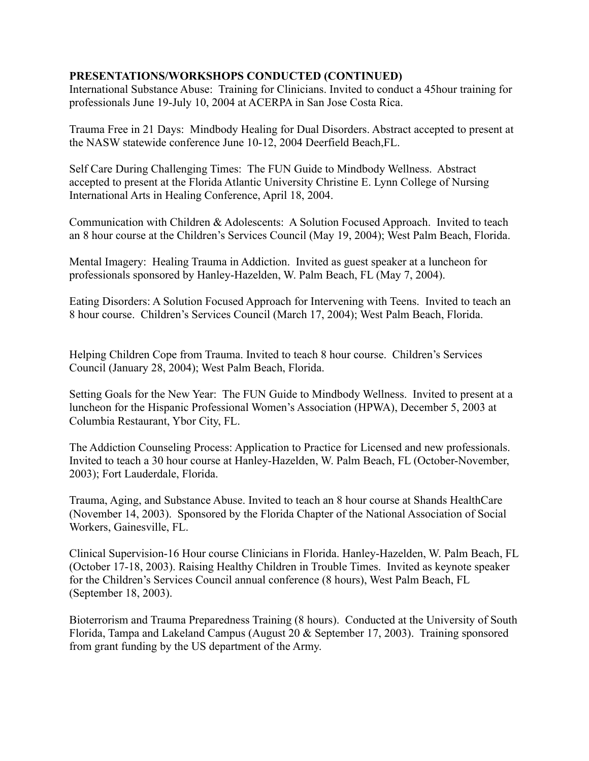International Substance Abuse: Training for Clinicians. Invited to conduct a 45hour training for professionals June 19-July 10, 2004 at ACERPA in San Jose Costa Rica.

Trauma Free in 21 Days: Mindbody Healing for Dual Disorders. Abstract accepted to present at the NASW statewide conference June 10-12, 2004 Deerfield Beach,FL.

Self Care During Challenging Times: The FUN Guide to Mindbody Wellness. Abstract accepted to present at the Florida Atlantic University Christine E. Lynn College of Nursing International Arts in Healing Conference, April 18, 2004.

Communication with Children & Adolescents: A Solution Focused Approach. Invited to teach an 8 hour course at the Children's Services Council (May 19, 2004); West Palm Beach, Florida.

Mental Imagery: Healing Trauma in Addiction. Invited as guest speaker at a luncheon for professionals sponsored by Hanley-Hazelden, W. Palm Beach, FL (May 7, 2004).

Eating Disorders: A Solution Focused Approach for Intervening with Teens. Invited to teach an 8 hour course. Children's Services Council (March 17, 2004); West Palm Beach, Florida.

Helping Children Cope from Trauma. Invited to teach 8 hour course. Children's Services Council (January 28, 2004); West Palm Beach, Florida.

Setting Goals for the New Year: The FUN Guide to Mindbody Wellness. Invited to present at a luncheon for the Hispanic Professional Women's Association (HPWA), December 5, 2003 at Columbia Restaurant, Ybor City, FL.

The Addiction Counseling Process: Application to Practice for Licensed and new professionals. Invited to teach a 30 hour course at Hanley-Hazelden, W. Palm Beach, FL (October-November, 2003); Fort Lauderdale, Florida.

Trauma, Aging, and Substance Abuse. Invited to teach an 8 hour course at Shands HealthCare (November 14, 2003). Sponsored by the Florida Chapter of the National Association of Social Workers, Gainesville, FL.

Clinical Supervision-16 Hour course Clinicians in Florida. Hanley-Hazelden, W. Palm Beach, FL (October 17-18, 2003). Raising Healthy Children in Trouble Times. Invited as keynote speaker for the Children's Services Council annual conference (8 hours), West Palm Beach, FL (September 18, 2003).

Bioterrorism and Trauma Preparedness Training (8 hours). Conducted at the University of South Florida, Tampa and Lakeland Campus (August 20 & September 17, 2003). Training sponsored from grant funding by the US department of the Army.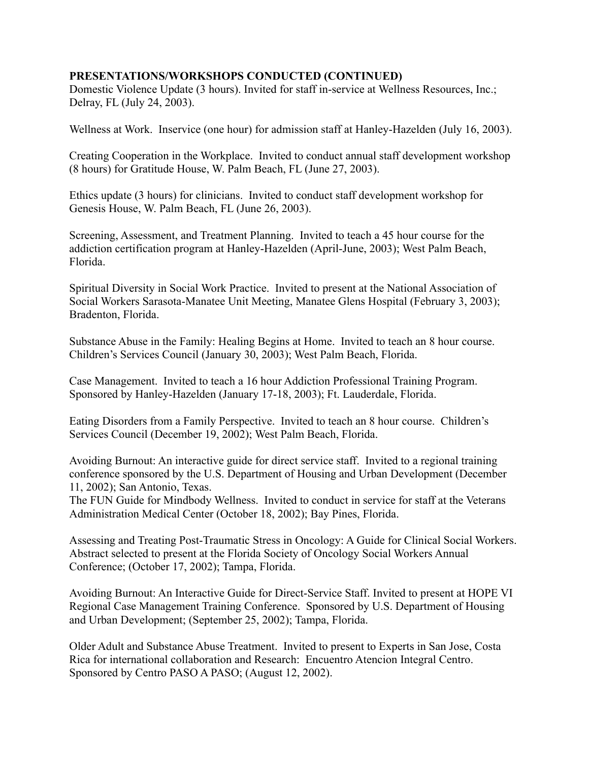Domestic Violence Update (3 hours). Invited for staff in-service at Wellness Resources, Inc.; Delray, FL (July 24, 2003).

Wellness at Work. Inservice (one hour) for admission staff at Hanley-Hazelden (July 16, 2003).

Creating Cooperation in the Workplace. Invited to conduct annual staff development workshop (8 hours) for Gratitude House, W. Palm Beach, FL (June 27, 2003).

Ethics update (3 hours) for clinicians. Invited to conduct staff development workshop for Genesis House, W. Palm Beach, FL (June 26, 2003).

Screening, Assessment, and Treatment Planning. Invited to teach a 45 hour course for the addiction certification program at Hanley-Hazelden (April-June, 2003); West Palm Beach, Florida.

Spiritual Diversity in Social Work Practice. Invited to present at the National Association of Social Workers Sarasota-Manatee Unit Meeting, Manatee Glens Hospital (February 3, 2003); Bradenton, Florida.

Substance Abuse in the Family: Healing Begins at Home. Invited to teach an 8 hour course. Children's Services Council (January 30, 2003); West Palm Beach, Florida.

Case Management. Invited to teach a 16 hour Addiction Professional Training Program. Sponsored by Hanley-Hazelden (January 17-18, 2003); Ft. Lauderdale, Florida.

Eating Disorders from a Family Perspective. Invited to teach an 8 hour course. Children's Services Council (December 19, 2002); West Palm Beach, Florida.

Avoiding Burnout: An interactive guide for direct service staff. Invited to a regional training conference sponsored by the U.S. Department of Housing and Urban Development (December 11, 2002); San Antonio, Texas.

The FUN Guide for Mindbody Wellness. Invited to conduct in service for staff at the Veterans Administration Medical Center (October 18, 2002); Bay Pines, Florida.

Assessing and Treating Post-Traumatic Stress in Oncology: A Guide for Clinical Social Workers. Abstract selected to present at the Florida Society of Oncology Social Workers Annual Conference; (October 17, 2002); Tampa, Florida.

Avoiding Burnout: An Interactive Guide for Direct-Service Staff. Invited to present at HOPE VI Regional Case Management Training Conference. Sponsored by U.S. Department of Housing and Urban Development; (September 25, 2002); Tampa, Florida.

Older Adult and Substance Abuse Treatment. Invited to present to Experts in San Jose, Costa Rica for international collaboration and Research: Encuentro Atencion Integral Centro. Sponsored by Centro PASO A PASO; (August 12, 2002).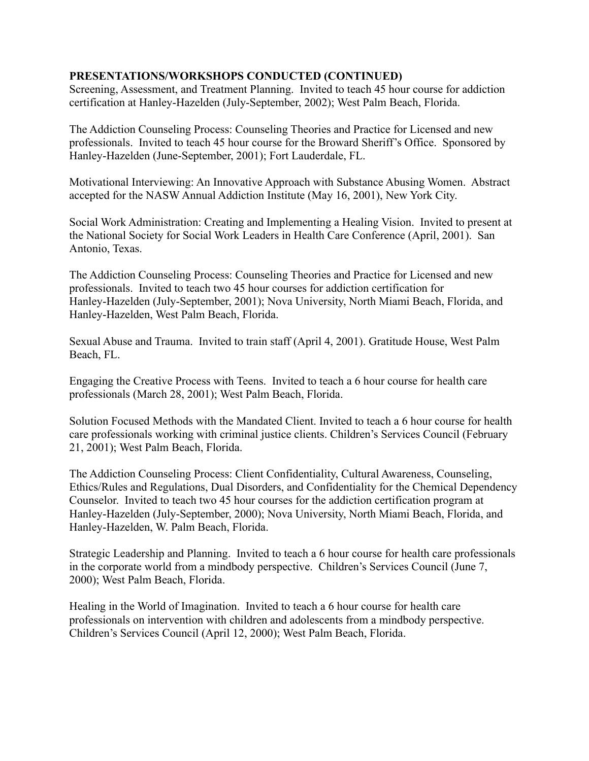Screening, Assessment, and Treatment Planning. Invited to teach 45 hour course for addiction certification at Hanley-Hazelden (July-September, 2002); West Palm Beach, Florida.

The Addiction Counseling Process: Counseling Theories and Practice for Licensed and new professionals. Invited to teach 45 hour course for the Broward Sheriff's Office. Sponsored by Hanley-Hazelden (June-September, 2001); Fort Lauderdale, FL.

Motivational Interviewing: An Innovative Approach with Substance Abusing Women. Abstract accepted for the NASW Annual Addiction Institute (May 16, 2001), New York City.

Social Work Administration: Creating and Implementing a Healing Vision. Invited to present at the National Society for Social Work Leaders in Health Care Conference (April, 2001). San Antonio, Texas.

The Addiction Counseling Process: Counseling Theories and Practice for Licensed and new professionals. Invited to teach two 45 hour courses for addiction certification for Hanley-Hazelden (July-September, 2001); Nova University, North Miami Beach, Florida, and Hanley-Hazelden, West Palm Beach, Florida.

Sexual Abuse and Trauma. Invited to train staff (April 4, 2001). Gratitude House, West Palm Beach, FL.

Engaging the Creative Process with Teens. Invited to teach a 6 hour course for health care professionals (March 28, 2001); West Palm Beach, Florida.

Solution Focused Methods with the Mandated Client. Invited to teach a 6 hour course for health care professionals working with criminal justice clients. Children's Services Council (February 21, 2001); West Palm Beach, Florida.

The Addiction Counseling Process: Client Confidentiality, Cultural Awareness, Counseling, Ethics/Rules and Regulations, Dual Disorders, and Confidentiality for the Chemical Dependency Counselor. Invited to teach two 45 hour courses for the addiction certification program at Hanley-Hazelden (July-September, 2000); Nova University, North Miami Beach, Florida, and Hanley-Hazelden, W. Palm Beach, Florida.

Strategic Leadership and Planning. Invited to teach a 6 hour course for health care professionals in the corporate world from a mindbody perspective. Children's Services Council (June 7, 2000); West Palm Beach, Florida.

Healing in the World of Imagination. Invited to teach a 6 hour course for health care professionals on intervention with children and adolescents from a mindbody perspective. Children's Services Council (April 12, 2000); West Palm Beach, Florida.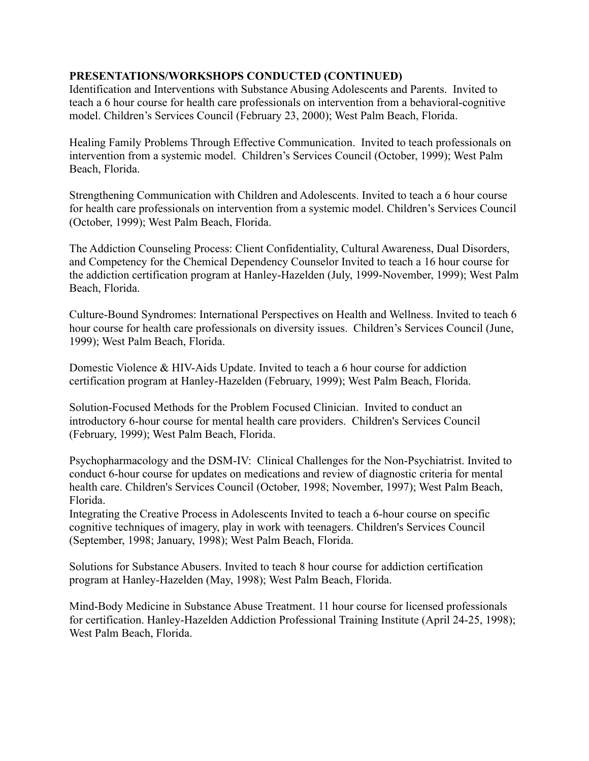Identification and Interventions with Substance Abusing Adolescents and Parents. Invited to teach a 6 hour course for health care professionals on intervention from a behavioral-cognitive model. Children's Services Council (February 23, 2000); West Palm Beach, Florida.

Healing Family Problems Through Effective Communication. Invited to teach professionals on intervention from a systemic model. Children's Services Council (October, 1999); West Palm Beach, Florida.

Strengthening Communication with Children and Adolescents. Invited to teach a 6 hour course for health care professionals on intervention from a systemic model. Children's Services Council (October, 1999); West Palm Beach, Florida.

The Addiction Counseling Process: Client Confidentiality, Cultural Awareness, Dual Disorders, and Competency for the Chemical Dependency Counselor Invited to teach a 16 hour course for the addiction certification program at Hanley-Hazelden (July, 1999-November, 1999); West Palm Beach, Florida.

Culture-Bound Syndromes: International Perspectives on Health and Wellness. Invited to teach 6 hour course for health care professionals on diversity issues. Children's Services Council (June, 1999); West Palm Beach, Florida.

Domestic Violence & HIV-Aids Update. Invited to teach a 6 hour course for addiction certification program at Hanley-Hazelden (February, 1999); West Palm Beach, Florida.

Solution-Focused Methods for the Problem Focused Clinician. Invited to conduct an introductory 6-hour course for mental health care providers. Children's Services Council (February, 1999); West Palm Beach, Florida.

Psychopharmacology and the DSM-IV: Clinical Challenges for the Non-Psychiatrist. Invited to conduct 6-hour course for updates on medications and review of diagnostic criteria for mental health care. Children's Services Council (October, 1998; November, 1997); West Palm Beach, Florida.

Integrating the Creative Process in Adolescents Invited to teach a 6-hour course on specific cognitive techniques of imagery, play in work with teenagers. Children's Services Council (September, 1998; January, 1998); West Palm Beach, Florida.

Solutions for Substance Abusers. Invited to teach 8 hour course for addiction certification program at Hanley-Hazelden (May, 1998); West Palm Beach, Florida.

Mind-Body Medicine in Substance Abuse Treatment. 11 hour course for licensed professionals for certification. Hanley-Hazelden Addiction Professional Training Institute (April 24-25, 1998); West Palm Beach, Florida.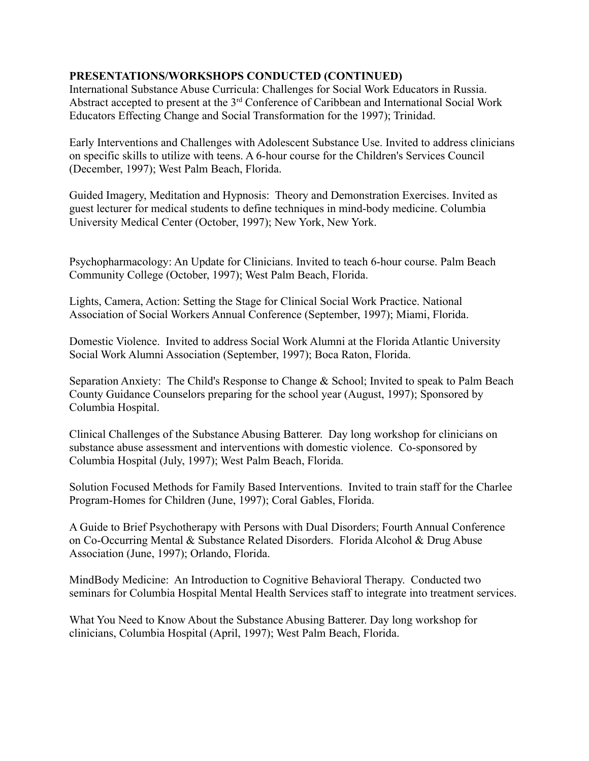International Substance Abuse Curricula: Challenges for Social Work Educators in Russia. Abstract accepted to present at the 3rd Conference of Caribbean and International Social Work Educators Effecting Change and Social Transformation for the 1997); Trinidad.

Early Interventions and Challenges with Adolescent Substance Use. Invited to address clinicians on specific skills to utilize with teens. A 6-hour course for the Children's Services Council (December, 1997); West Palm Beach, Florida.

Guided Imagery, Meditation and Hypnosis: Theory and Demonstration Exercises. Invited as guest lecturer for medical students to define techniques in mind-body medicine. Columbia University Medical Center (October, 1997); New York, New York.

Psychopharmacology: An Update for Clinicians. Invited to teach 6-hour course. Palm Beach Community College (October, 1997); West Palm Beach, Florida.

Lights, Camera, Action: Setting the Stage for Clinical Social Work Practice. National Association of Social Workers Annual Conference (September, 1997); Miami, Florida.

Domestic Violence. Invited to address Social Work Alumni at the Florida Atlantic University Social Work Alumni Association (September, 1997); Boca Raton, Florida.

Separation Anxiety: The Child's Response to Change & School; Invited to speak to Palm Beach County Guidance Counselors preparing for the school year (August, 1997); Sponsored by Columbia Hospital.

Clinical Challenges of the Substance Abusing Batterer. Day long workshop for clinicians on substance abuse assessment and interventions with domestic violence. Co-sponsored by Columbia Hospital (July, 1997); West Palm Beach, Florida.

Solution Focused Methods for Family Based Interventions. Invited to train staff for the Charlee Program-Homes for Children (June, 1997); Coral Gables, Florida.

A Guide to Brief Psychotherapy with Persons with Dual Disorders; Fourth Annual Conference on Co-Occurring Mental & Substance Related Disorders. Florida Alcohol & Drug Abuse Association (June, 1997); Orlando, Florida.

MindBody Medicine: An Introduction to Cognitive Behavioral Therapy. Conducted two seminars for Columbia Hospital Mental Health Services staff to integrate into treatment services.

What You Need to Know About the Substance Abusing Batterer. Day long workshop for clinicians, Columbia Hospital (April, 1997); West Palm Beach, Florida.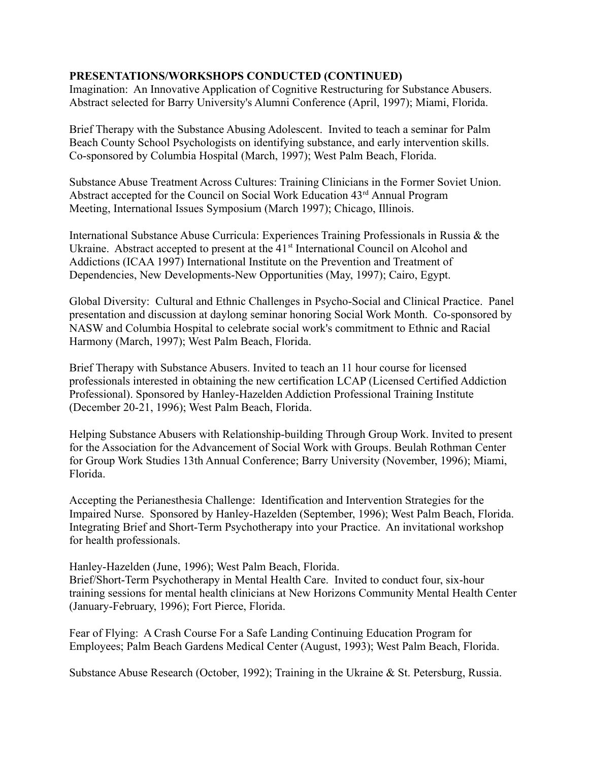Imagination: An Innovative Application of Cognitive Restructuring for Substance Abusers. Abstract selected for Barry University's Alumni Conference (April, 1997); Miami, Florida.

Brief Therapy with the Substance Abusing Adolescent. Invited to teach a seminar for Palm Beach County School Psychologists on identifying substance, and early intervention skills. Co-sponsored by Columbia Hospital (March, 1997); West Palm Beach, Florida.

Substance Abuse Treatment Across Cultures: Training Clinicians in the Former Soviet Union. Abstract accepted for the Council on Social Work Education 43rd Annual Program Meeting, International Issues Symposium (March 1997); Chicago, Illinois.

International Substance Abuse Curricula: Experiences Training Professionals in Russia & the Ukraine. Abstract accepted to present at the 41<sup>st</sup> International Council on Alcohol and Addictions (ICAA 1997) International Institute on the Prevention and Treatment of Dependencies, New Developments-New Opportunities (May, 1997); Cairo, Egypt.

Global Diversity: Cultural and Ethnic Challenges in Psycho-Social and Clinical Practice. Panel presentation and discussion at daylong seminar honoring Social Work Month. Co-sponsored by NASW and Columbia Hospital to celebrate social work's commitment to Ethnic and Racial Harmony (March, 1997); West Palm Beach, Florida.

Brief Therapy with Substance Abusers. Invited to teach an 11 hour course for licensed professionals interested in obtaining the new certification LCAP (Licensed Certified Addiction Professional). Sponsored by Hanley-Hazelden Addiction Professional Training Institute (December 20-21, 1996); West Palm Beach, Florida.

Helping Substance Abusers with Relationship-building Through Group Work. Invited to present for the Association for the Advancement of Social Work with Groups. Beulah Rothman Center for Group Work Studies 13th Annual Conference; Barry University (November, 1996); Miami, Florida.

Accepting the Perianesthesia Challenge: Identification and Intervention Strategies for the Impaired Nurse. Sponsored by Hanley-Hazelden (September, 1996); West Palm Beach, Florida. Integrating Brief and Short-Term Psychotherapy into your Practice. An invitational workshop for health professionals.

Hanley-Hazelden (June, 1996); West Palm Beach, Florida. Brief/Short-Term Psychotherapy in Mental Health Care. Invited to conduct four, six-hour training sessions for mental health clinicians at New Horizons Community Mental Health Center (January-February, 1996); Fort Pierce, Florida.

Fear of Flying: A Crash Course For a Safe Landing Continuing Education Program for Employees; Palm Beach Gardens Medical Center (August, 1993); West Palm Beach, Florida.

Substance Abuse Research (October, 1992); Training in the Ukraine & St. Petersburg, Russia.